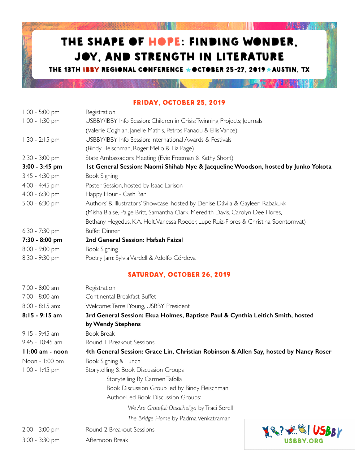## THE SHAPE OF HOPE: FINDING WONDER, JOY, AND STRENGTH IN LITERATURE

**REAL PROPERTY** 

 $W_1$ 

**AND LEAD** 

**图 15 商 产者可能的 IN** 

THE 13TH IBBY REGIONAL CONFERENCE ★OCTOBER 25-27, 2019 ★AUSTIN, TX

**BARBARETHO MANIFERENT** 

Friday, October 25, 2019

| 1:00 - 5:00 pm   | Registration                                                                                                                                                     |             |  |
|------------------|------------------------------------------------------------------------------------------------------------------------------------------------------------------|-------------|--|
| $1:00 - 1:30$ pm | USBBY/IBBY Info Session: Children in Crisis; Twinning Projects; Journals                                                                                         |             |  |
|                  | (Valerie Coghlan, Janelle Mathis, Petros Panaou & Ellis Vance)                                                                                                   |             |  |
| $1:30 - 2:15$ pm | USBBY/IBBY Info Session: International Awards & Festivals                                                                                                        |             |  |
|                  | (Bindy Fleischman, Roger Mello & Liz Page)                                                                                                                       |             |  |
| 2:30 - 3:00 pm   | State Ambassadors Meeting (Evie Freeman & Kathy Short)                                                                                                           |             |  |
| 3:00 - 3:45 pm   | Ist General Session: Naomi Shihab Nye & Jacqueline Woodson, hosted by Junko Yokota                                                                               |             |  |
| 3:45 - 4:30 pm   | <b>Book Signing</b>                                                                                                                                              |             |  |
| 4:00 - 4:45 pm   | Poster Session, hosted by Isaac Larison                                                                                                                          |             |  |
| 4:00 - 6:30 pm   | Happy Hour - Cash Bar                                                                                                                                            |             |  |
| 5:00 - 6:30 pm   | Authors' & Illustrators' Showcase, hosted by Denise Dávila & Gayleen Rabakukk<br>(Misha Blaise, Paige Britt, Samantha Clark, Meredith Davis, Carolyn Dee Flores, |             |  |
|                  | Bethany Hegedus, K.A. Holt, Vanessa Roeder, Lupe Ruiz-Flores & Christina Soontornvat)                                                                            |             |  |
| 6:30 - 7:30 pm   | <b>Buffet Dinner</b>                                                                                                                                             |             |  |
| 7:30 - 8:00 pm   | 2nd General Session: Hafsah Faizal                                                                                                                               |             |  |
| 8:00 - 9:00 pm   | Book Signing                                                                                                                                                     |             |  |
| 8:30 - 9:30 pm   | Poetry Jam: Sylvia Vardell & Adolfo Córdova                                                                                                                      |             |  |
|                  | SATURDAY, OCTOBER 26, 2019                                                                                                                                       |             |  |
| 7:00 - 8:00 am   | Registration                                                                                                                                                     |             |  |
| 7:00 - 8:00 am   | Continental Breakfast Buffet                                                                                                                                     |             |  |
| 8:00 - 8:15 am:  | Welcome: Terrell Young, USBBY President                                                                                                                          |             |  |
| 8:15 - 9:15 am   | 3rd General Session: Ekua Holmes, Baptiste Paul & Cynthia Leitich Smith, hosted                                                                                  |             |  |
|                  | by Wendy Stephens                                                                                                                                                |             |  |
| 9:15 - 9:45 am   | <b>Book Break</b>                                                                                                                                                |             |  |
| 9:45 - 10:45 am  | Round   Breakout Sessions                                                                                                                                        |             |  |
| II:00 am - noon  | 4th General Session: Grace Lin, Christian Robinson & Allen Say, hosted by Nancy Roser                                                                            |             |  |
| Noon - 1:00 pm   | Book Signing & Lunch                                                                                                                                             |             |  |
| 1:00 - 1:45 pm   | Storytelling & Book Discussion Groups                                                                                                                            |             |  |
|                  | Storytelling By Carmen Tafolla                                                                                                                                   |             |  |
|                  | Book Discussion Group led by Bindy Fleischman                                                                                                                    |             |  |
|                  | Author-Led Book Discussion Groups:                                                                                                                               |             |  |
|                  | We Are Grateful: Otsaliheliga by Traci Sorell                                                                                                                    |             |  |
|                  | The Bridge Home by Padma Venkatraman                                                                                                                             |             |  |
| 2:00 - 3:00 pm   | Round 2 Breakout Sessions                                                                                                                                        | <b>SBBY</b> |  |
| 3:00 - 3:30 pm   | Afternoon Break                                                                                                                                                  | USBBY.ORG   |  |